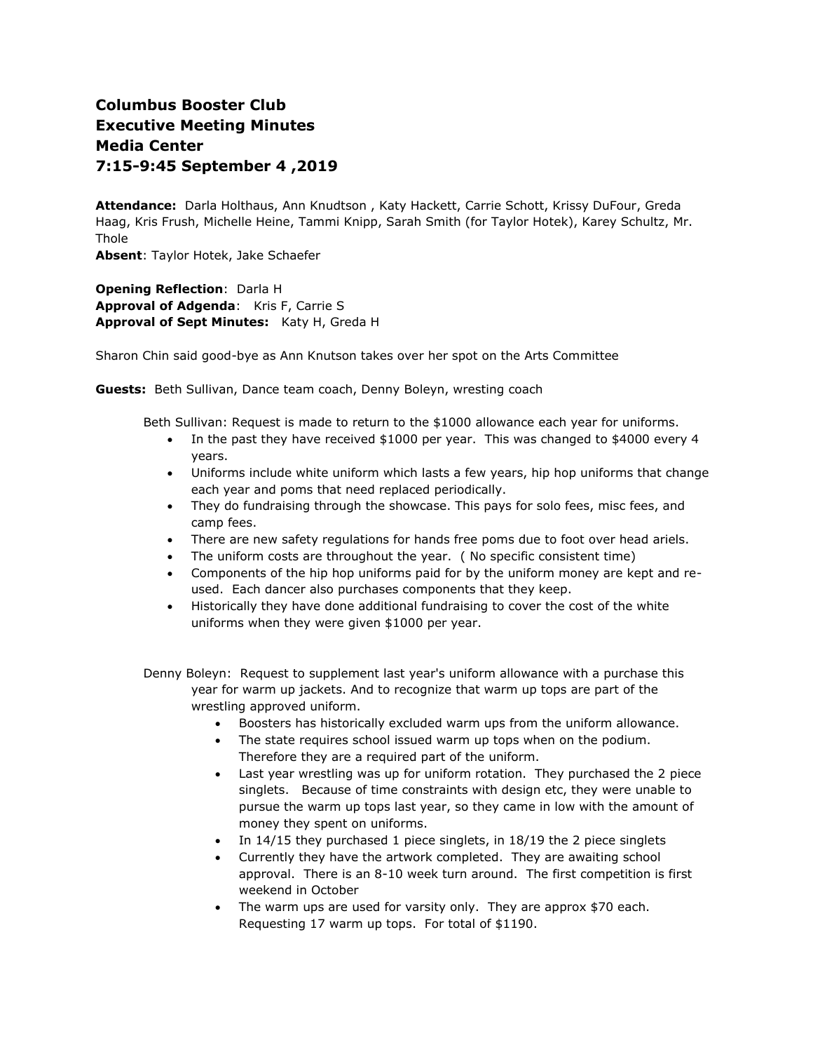# **Columbus Booster Club Executive Meeting Minutes Media Center 7:15-9:45 September 4 ,2019**

**Attendance:** Darla Holthaus, Ann Knudtson , Katy Hackett, Carrie Schott, Krissy DuFour, Greda Haag, Kris Frush, Michelle Heine, Tammi Knipp, Sarah Smith (for Taylor Hotek), Karey Schultz, Mr. Thole

**Absent**: Taylor Hotek, Jake Schaefer

**Opening Reflection**: Darla H **Approval of Adgenda**: Kris F, Carrie S **Approval of Sept Minutes:** Katy H, Greda H

Sharon Chin said good-bye as Ann Knutson takes over her spot on the Arts Committee

**Guests:** Beth Sullivan, Dance team coach, Denny Boleyn, wresting coach

Beth Sullivan: Request is made to return to the \$1000 allowance each year for uniforms.

- In the past they have received \$1000 per year. This was changed to \$4000 every 4 years.
- Uniforms include white uniform which lasts a few years, hip hop uniforms that change each year and poms that need replaced periodically.
- They do fundraising through the showcase. This pays for solo fees, misc fees, and camp fees.
- There are new safety regulations for hands free poms due to foot over head ariels.
- The uniform costs are throughout the year. ( No specific consistent time)
- Components of the hip hop uniforms paid for by the uniform money are kept and reused. Each dancer also purchases components that they keep.
- Historically they have done additional fundraising to cover the cost of the white uniforms when they were given \$1000 per year.
- Denny Boleyn: Request to supplement last year's uniform allowance with a purchase this year for warm up jackets. And to recognize that warm up tops are part of the wrestling approved uniform.
	- Boosters has historically excluded warm ups from the uniform allowance.
	- The state requires school issued warm up tops when on the podium. Therefore they are a required part of the uniform.
	- Last year wrestling was up for uniform rotation. They purchased the 2 piece singlets. Because of time constraints with design etc, they were unable to pursue the warm up tops last year, so they came in low with the amount of money they spent on uniforms.
	- In 14/15 they purchased 1 piece singlets, in 18/19 the 2 piece singlets
	- Currently they have the artwork completed. They are awaiting school approval. There is an 8-10 week turn around. The first competition is first weekend in October
	- The warm ups are used for varsity only. They are approx \$70 each. Requesting 17 warm up tops. For total of \$1190.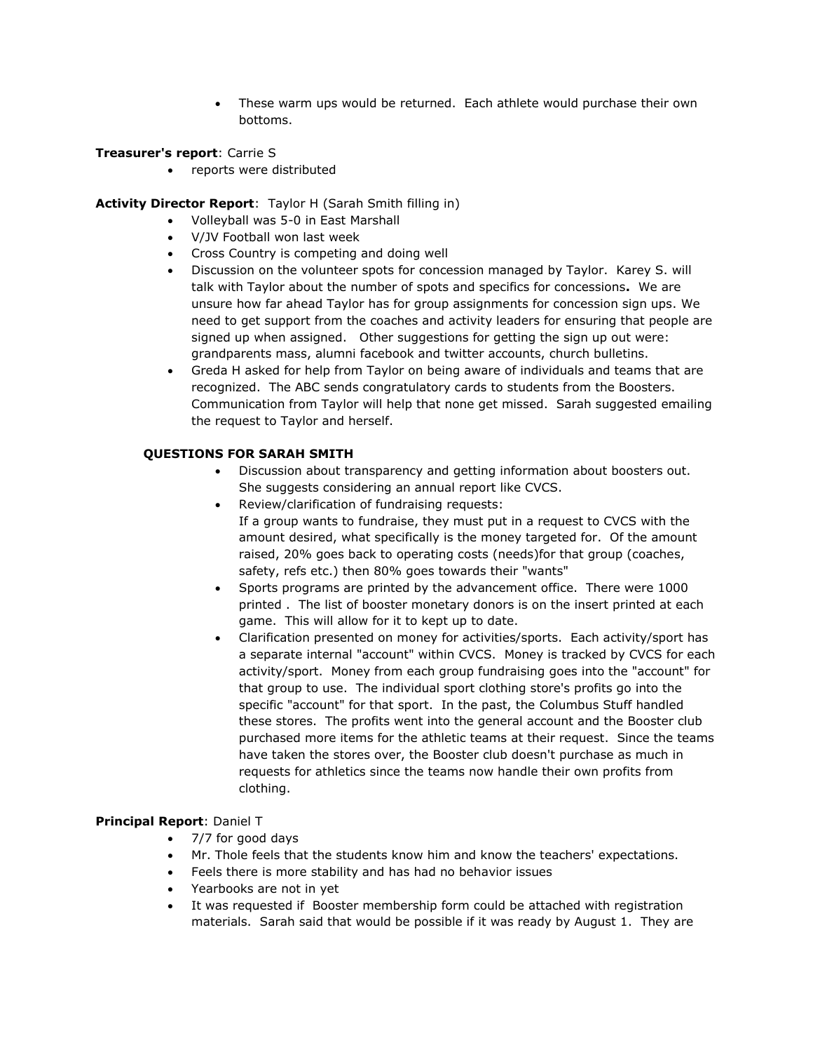These warm ups would be returned. Each athlete would purchase their own bottoms.

# **Treasurer's report**: Carrie S

reports were distributed

# **Activity Director Report**: Taylor H (Sarah Smith filling in)

- Volleyball was 5-0 in East Marshall
- V/JV Football won last week
- Cross Country is competing and doing well
- Discussion on the volunteer spots for concession managed by Taylor. Karey S. will talk with Taylor about the number of spots and specifics for concessions**.** We are unsure how far ahead Taylor has for group assignments for concession sign ups. We need to get support from the coaches and activity leaders for ensuring that people are signed up when assigned. Other suggestions for getting the sign up out were: grandparents mass, alumni facebook and twitter accounts, church bulletins.
- Greda H asked for help from Taylor on being aware of individuals and teams that are recognized. The ABC sends congratulatory cards to students from the Boosters. Communication from Taylor will help that none get missed. Sarah suggested emailing the request to Taylor and herself.

# **QUESTIONS FOR SARAH SMITH**

- Discussion about transparency and getting information about boosters out. She suggests considering an annual report like CVCS.
- Review/clarification of fundraising requests: If a group wants to fundraise, they must put in a request to CVCS with the amount desired, what specifically is the money targeted for. Of the amount raised, 20% goes back to operating costs (needs)for that group (coaches, safety, refs etc.) then 80% goes towards their "wants"
- Sports programs are printed by the advancement office. There were 1000 printed . The list of booster monetary donors is on the insert printed at each game. This will allow for it to kept up to date.
- Clarification presented on money for activities/sports. Each activity/sport has a separate internal "account" within CVCS. Money is tracked by CVCS for each activity/sport. Money from each group fundraising goes into the "account" for that group to use. The individual sport clothing store's profits go into the specific "account" for that sport. In the past, the Columbus Stuff handled these stores. The profits went into the general account and the Booster club purchased more items for the athletic teams at their request. Since the teams have taken the stores over, the Booster club doesn't purchase as much in requests for athletics since the teams now handle their own profits from clothing.

## **Principal Report**: Daniel T

- 7/7 for good days
- Mr. Thole feels that the students know him and know the teachers' expectations.
- Feels there is more stability and has had no behavior issues
- Yearbooks are not in yet
- It was requested if Booster membership form could be attached with registration materials. Sarah said that would be possible if it was ready by August 1. They are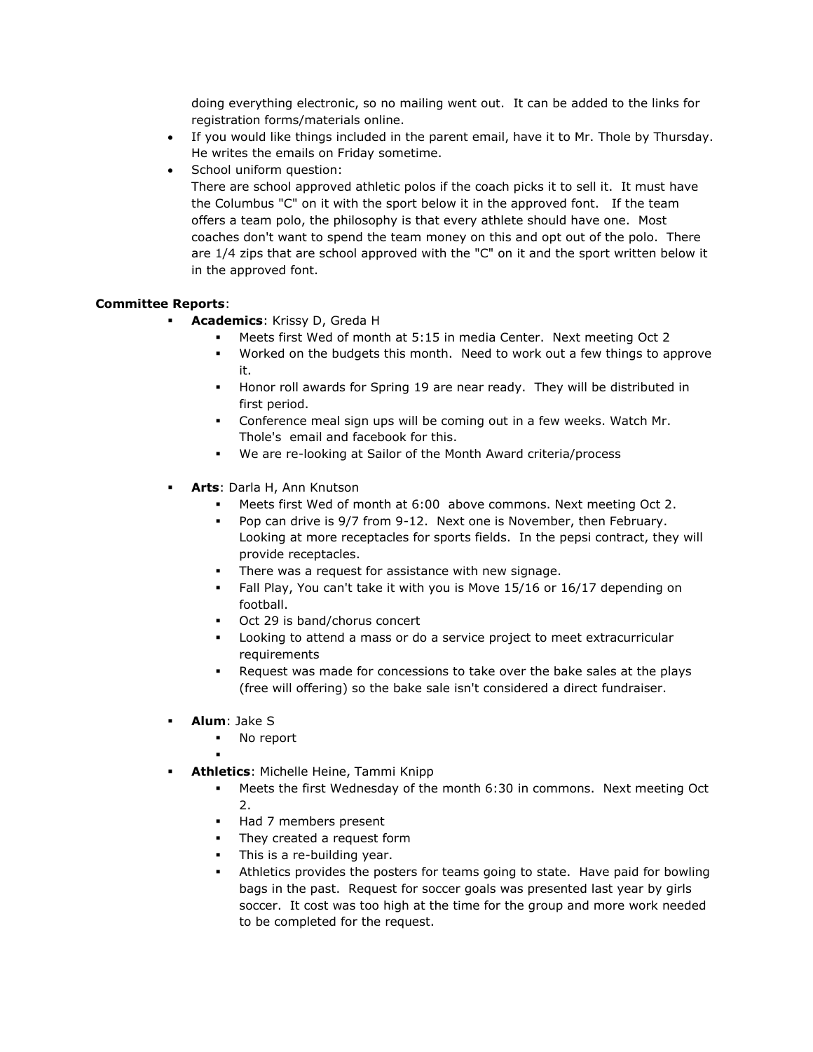doing everything electronic, so no mailing went out. It can be added to the links for registration forms/materials online.

- If you would like things included in the parent email, have it to Mr. Thole by Thursday. He writes the emails on Friday sometime.
- School uniform question:

There are school approved athletic polos if the coach picks it to sell it. It must have the Columbus "C" on it with the sport below it in the approved font. If the team offers a team polo, the philosophy is that every athlete should have one. Most coaches don't want to spend the team money on this and opt out of the polo. There are 1/4 zips that are school approved with the "C" on it and the sport written below it in the approved font.

# **Committee Reports**:

- **Academics**: Krissy D, Greda H
	- Meets first Wed of month at 5:15 in media Center. Next meeting Oct 2
	- Worked on the budgets this month. Need to work out a few things to approve it.
	- Honor roll awards for Spring 19 are near ready. They will be distributed in first period.
	- Conference meal sign ups will be coming out in a few weeks. Watch Mr. Thole's email and facebook for this.
	- We are re-looking at Sailor of the Month Award criteria/process
- **Arts**: Darla H, Ann Knutson
	- Meets first Wed of month at 6:00 above commons. Next meeting Oct 2.
	- Pop can drive is 9/7 from 9-12. Next one is November, then February. Looking at more receptacles for sports fields. In the pepsi contract, they will provide receptacles.
	- There was a request for assistance with new signage.
	- Fall Play, You can't take it with you is Move 15/16 or 16/17 depending on football.
	- Oct 29 is band/chorus concert
	- Looking to attend a mass or do a service project to meet extracurricular requirements
	- Request was made for concessions to take over the bake sales at the plays (free will offering) so the bake sale isn't considered a direct fundraiser.
- **Alum**: Jake S
	- No report
	- .
- **Athletics**: Michelle Heine, Tammi Knipp
	- Meets the first Wednesday of the month 6:30 in commons. Next meeting Oct 2.
	- Had 7 members present
	- **They created a request form**
	- This is a re-building year.
	- Athletics provides the posters for teams going to state. Have paid for bowling bags in the past. Request for soccer goals was presented last year by girls soccer. It cost was too high at the time for the group and more work needed to be completed for the request.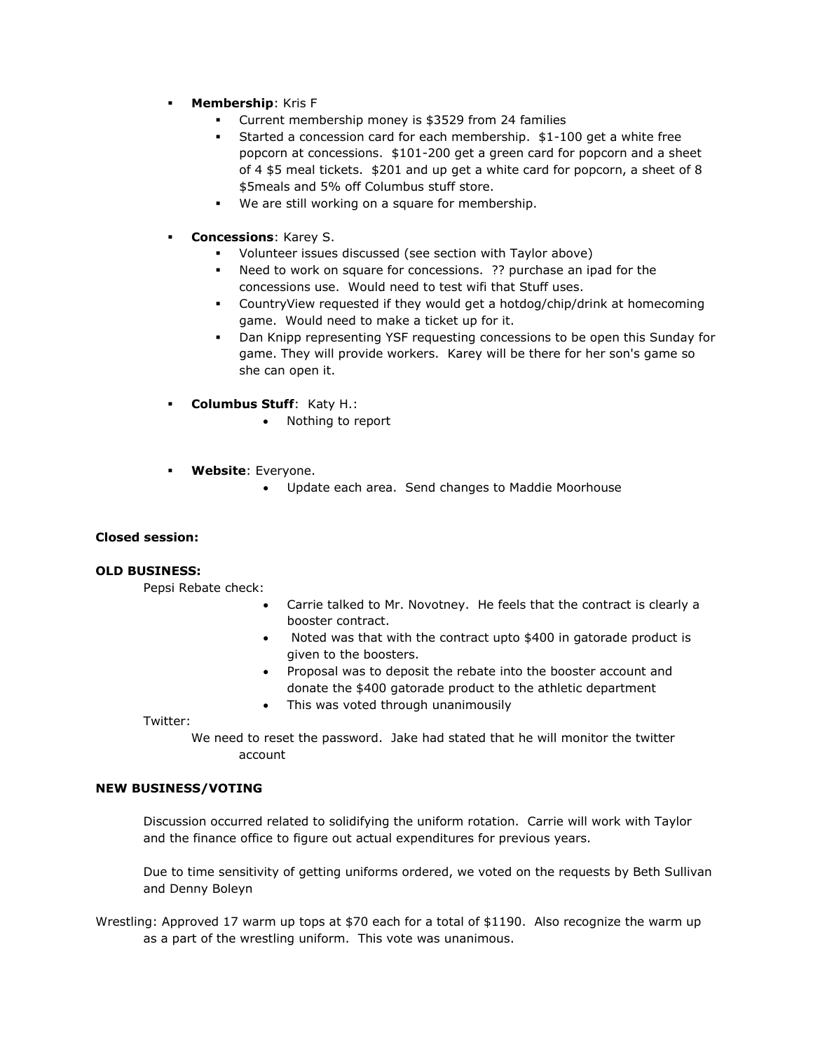- **Membership**: Kris F
	- Current membership money is \$3529 from 24 families
	- Started a concession card for each membership. \$1-100 get a white free popcorn at concessions. \$101-200 get a green card for popcorn and a sheet of 4 \$5 meal tickets. \$201 and up get a white card for popcorn, a sheet of 8 \$5meals and 5% off Columbus stuff store.
	- We are still working on a square for membership.
- **Concessions**: Karey S.
	- Volunteer issues discussed (see section with Taylor above)
	- Need to work on square for concessions. ?? purchase an ipad for the concessions use. Would need to test wifi that Stuff uses.
	- CountryView requested if they would get a hotdog/chip/drink at homecoming game. Would need to make a ticket up for it.
	- Dan Knipp representing YSF requesting concessions to be open this Sunday for game. They will provide workers. Karey will be there for her son's game so she can open it.
- **Columbus Stuff**: Katy H.:
	- Nothing to report
- **Website**: Everyone.
	- Update each area. Send changes to Maddie Moorhouse

## **Closed session:**

## **OLD BUSINESS:**

Pepsi Rebate check:

- Carrie talked to Mr. Novotney. He feels that the contract is clearly a booster contract.
- Noted was that with the contract upto \$400 in gatorade product is given to the boosters.
- Proposal was to deposit the rebate into the booster account and donate the \$400 gatorade product to the athletic department
- This was voted through unanimousily

Twitter:

We need to reset the password. Jake had stated that he will monitor the twitter account

#### **NEW BUSINESS/VOTING**

Discussion occurred related to solidifying the uniform rotation. Carrie will work with Taylor and the finance office to figure out actual expenditures for previous years.

Due to time sensitivity of getting uniforms ordered, we voted on the requests by Beth Sullivan and Denny Boleyn

Wrestling: Approved 17 warm up tops at \$70 each for a total of \$1190. Also recognize the warm up as a part of the wrestling uniform. This vote was unanimous.